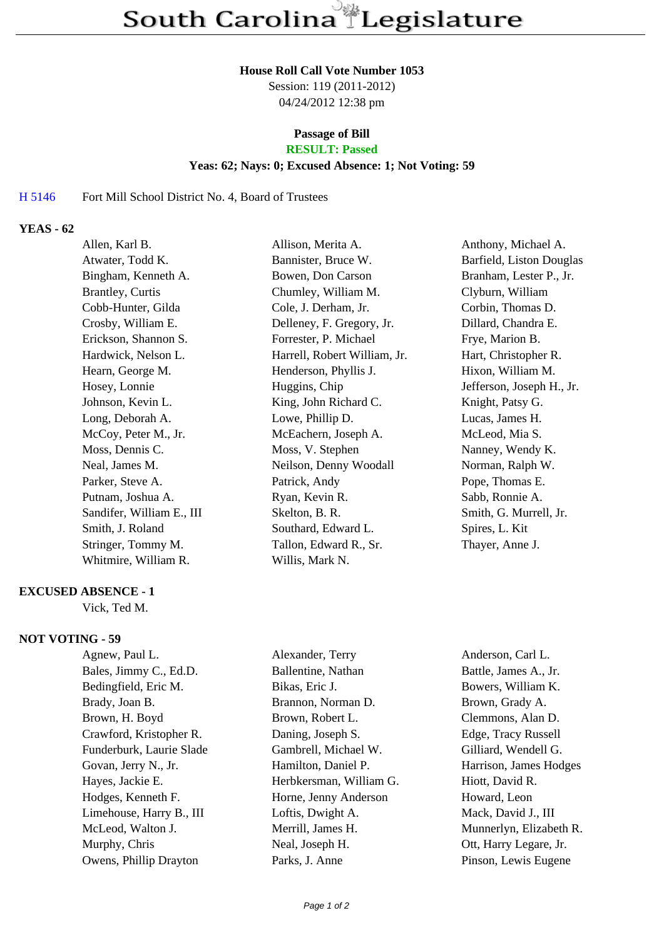### **House Roll Call Vote Number 1053**

Session: 119 (2011-2012) 04/24/2012 12:38 pm

# **Passage of Bill**

# **RESULT: Passed**

## **Yeas: 62; Nays: 0; Excused Absence: 1; Not Voting: 59**

#### H 5146 Fort Mill School District No. 4, Board of Trustees

## **YEAS - 62**

| Allen, Karl B.            | Allison, Merita A.           | Anthony, Michael A.       |
|---------------------------|------------------------------|---------------------------|
| Atwater, Todd K.          | Bannister, Bruce W.          | Barfield, Liston Douglas  |
| Bingham, Kenneth A.       | Bowen, Don Carson            | Branham, Lester P., Jr.   |
| <b>Brantley</b> , Curtis  | Chumley, William M.          | Clyburn, William          |
| Cobb-Hunter, Gilda        | Cole, J. Derham, Jr.         | Corbin, Thomas D.         |
| Crosby, William E.        | Delleney, F. Gregory, Jr.    | Dillard, Chandra E.       |
| Erickson, Shannon S.      | Forrester, P. Michael        | Frye, Marion B.           |
| Hardwick, Nelson L.       | Harrell, Robert William, Jr. | Hart, Christopher R.      |
| Hearn, George M.          | Henderson, Phyllis J.        | Hixon, William M.         |
| Hosey, Lonnie             | Huggins, Chip                | Jefferson, Joseph H., Jr. |
| Johnson, Kevin L.         | King, John Richard C.        | Knight, Patsy G.          |
| Long, Deborah A.          | Lowe, Phillip D.             | Lucas, James H.           |
| McCoy, Peter M., Jr.      | McEachern, Joseph A.         | McLeod, Mia S.            |
| Moss, Dennis C.           | Moss, V. Stephen             | Nanney, Wendy K.          |
| Neal, James M.            | Neilson, Denny Woodall       | Norman, Ralph W.          |
| Parker, Steve A.          | Patrick, Andy                | Pope, Thomas E.           |
| Putnam, Joshua A.         | Ryan, Kevin R.               | Sabb, Ronnie A.           |
| Sandifer, William E., III | Skelton, B. R.               | Smith, G. Murrell, Jr.    |
| Smith, J. Roland          | Southard, Edward L.          | Spires, L. Kit            |
| Stringer, Tommy M.        | Tallon, Edward R., Sr.       | Thayer, Anne J.           |
| Whitmire, William R.      | Willis, Mark N.              |                           |
|                           |                              |                           |

## **EXCUSED ABSENCE - 1**

Vick, Ted M.

# **NOT VOTING - 59**

Agnew, Paul L. Alexander, Terry Anderson, Carl L. Bales, Jimmy C., Ed.D. Ballentine, Nathan Battle, James A., Jr. Bedingfield, Eric M. Bikas, Eric J. Bowers, William K. Brady, Joan B. Brannon, Norman D. Brown, Grady A. Brown, H. Boyd Brown, Robert L. Clemmons, Alan D. Crawford, Kristopher R. Daning, Joseph S. Edge, Tracy Russell Funderburk, Laurie Slade Gambrell, Michael W. Gilliard, Wendell G. Govan, Jerry N., Jr. **Hamilton, Daniel P.** Harrison, James Hodges Hayes, Jackie E. **Herbkersman, William G.** Hiott, David R. Hodges, Kenneth F. Horne, Jenny Anderson Howard, Leon Limehouse, Harry B., III Loftis, Dwight A. Mack, David J., III McLeod, Walton J. Merrill, James H. Munnerlyn, Elizabeth R. Murphy, Chris Neal, Joseph H. Ott, Harry Legare, Jr.

Owens, Phillip Drayton Parks, J. Anne Pinson, Lewis Eugene